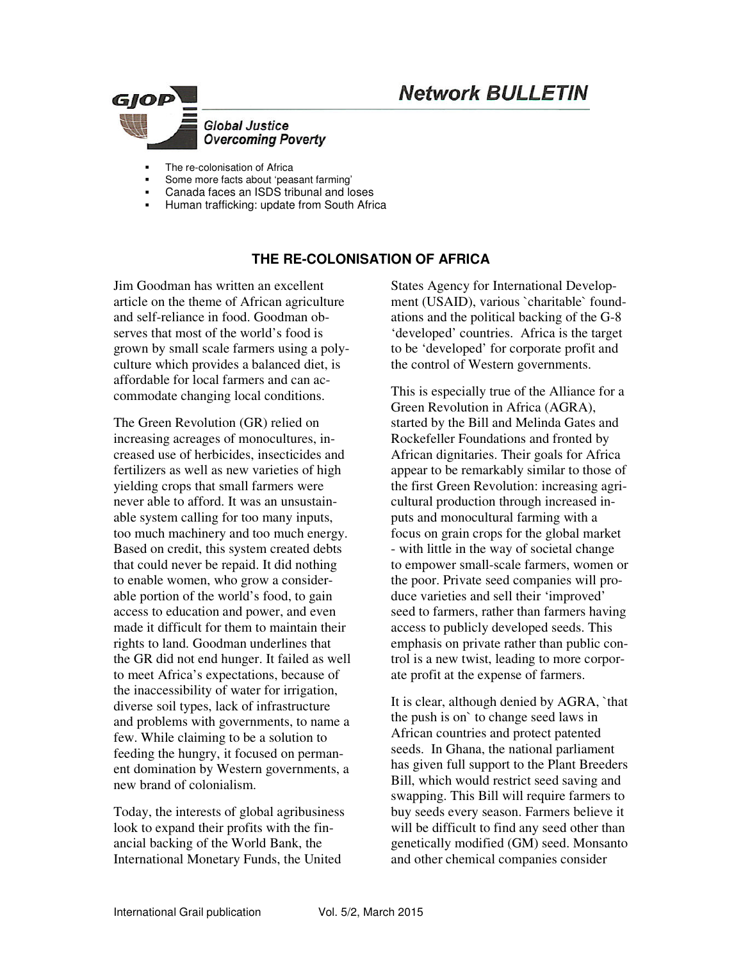# **Network BULLETIN**



- The re-colonisation of Africa
- Some more facts about 'peasant farming'
- Canada faces an ISDS tribunal and loses
- Human trafficking: update from South Africa

# **THE RE-COLONISATION OF AFRICA**

Jim Goodman has written an excellent article on the theme of African agriculture and self-reliance in food. Goodman observes that most of the world's food is grown by small scale farmers using a polyculture which provides a balanced diet, is affordable for local farmers and can accommodate changing local conditions.

The Green Revolution (GR) relied on increasing acreages of monocultures, increased use of herbicides, insecticides and fertilizers as well as new varieties of high yielding crops that small farmers were never able to afford. It was an unsustainable system calling for too many inputs, too much machinery and too much energy. Based on credit, this system created debts that could never be repaid. It did nothing to enable women, who grow a considerable portion of the world's food, to gain access to education and power, and even made it difficult for them to maintain their rights to land. Goodman underlines that the GR did not end hunger. It failed as well to meet Africa's expectations, because of the inaccessibility of water for irrigation, diverse soil types, lack of infrastructure and problems with governments, to name a few. While claiming to be a solution to feeding the hungry, it focused on permanent domination by Western governments, a new brand of colonialism.

Today, the interests of global agribusiness look to expand their profits with the financial backing of the World Bank, the International Monetary Funds, the United

States Agency for International Development (USAID), various `charitable` foundations and the political backing of the G-8 'developed' countries. Africa is the target to be 'developed' for corporate profit and the control of Western governments.

This is especially true of the Alliance for a Green Revolution in Africa (AGRA), started by the Bill and Melinda Gates and Rockefeller Foundations and fronted by African dignitaries. Their goals for Africa appear to be remarkably similar to those of the first Green Revolution: increasing agricultural production through increased inputs and monocultural farming with a focus on grain crops for the global market - with little in the way of societal change to empower small-scale farmers, women or the poor. Private seed companies will produce varieties and sell their 'improved' seed to farmers, rather than farmers having access to publicly developed seeds. This emphasis on private rather than public control is a new twist, leading to more corporate profit at the expense of farmers.

It is clear, although denied by AGRA, `that the push is on` to change seed laws in African countries and protect patented seeds. In Ghana, the national parliament has given full support to the Plant Breeders Bill, which would restrict seed saving and swapping. This Bill will require farmers to buy seeds every season. Farmers believe it will be difficult to find any seed other than genetically modified (GM) seed. Monsanto and other chemical companies consider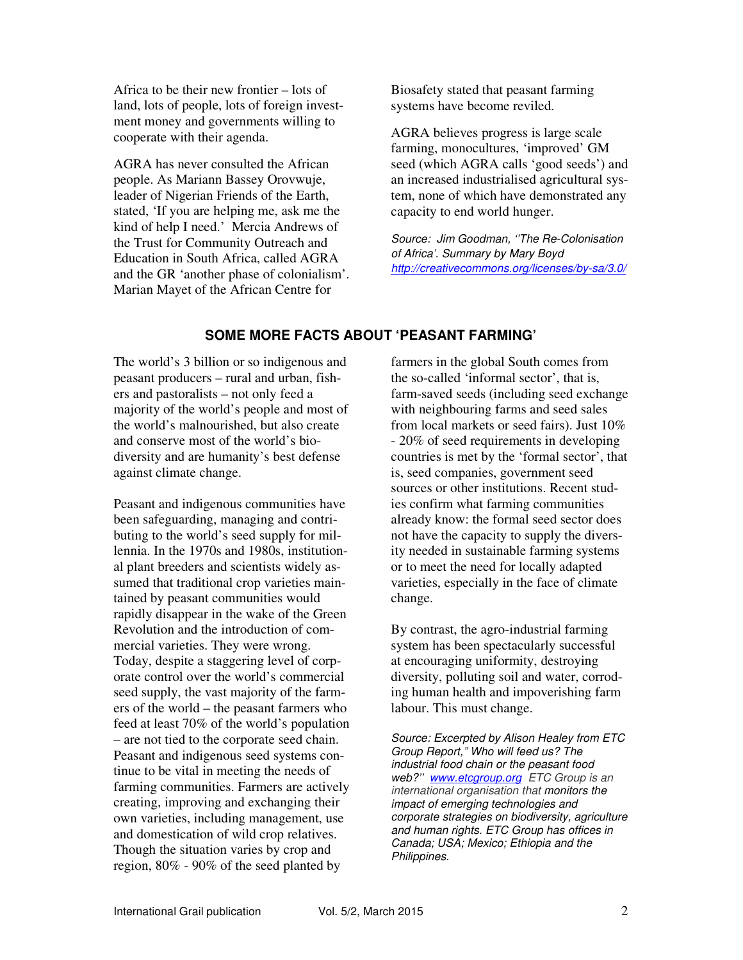Africa to be their new frontier – lots of land, lots of people, lots of foreign investment money and governments willing to cooperate with their agenda.

AGRA has never consulted the African people. As Mariann Bassey Orovwuje, leader of Nigerian Friends of the Earth, stated, 'If you are helping me, ask me the kind of help I need.' Mercia Andrews of the Trust for Community Outreach and Education in South Africa, called AGRA and the GR 'another phase of colonialism'. Marian Mayet of the African Centre for

Biosafety stated that peasant farming systems have become reviled.

AGRA believes progress is large scale farming, monocultures, 'improved' GM seed (which AGRA calls 'good seeds') and an increased industrialised agricultural system, none of which have demonstrated any capacity to end world hunger.

*Source: Jim Goodman, ''The Re-Colonisation of Africa'. Summary by Mary Boyd http://creativecommons.org/licenses/by-sa/3.0/*

# **SOME MORE FACTS ABOUT 'PEASANT FARMING'**

The world's 3 billion or so indigenous and peasant producers – rural and urban, fishers and pastoralists – not only feed a majority of the world's people and most of the world's malnourished, but also create and conserve most of the world's biodiversity and are humanity's best defense against climate change.

Peasant and indigenous communities have been safeguarding, managing and contributing to the world's seed supply for millennia. In the 1970s and 1980s, institutional plant breeders and scientists widely assumed that traditional crop varieties maintained by peasant communities would rapidly disappear in the wake of the Green Revolution and the introduction of commercial varieties. They were wrong. Today, despite a staggering level of corporate control over the world's commercial seed supply, the vast majority of the farmers of the world – the peasant farmers who feed at least 70% of the world's population – are not tied to the corporate seed chain. Peasant and indigenous seed systems continue to be vital in meeting the needs of farming communities. Farmers are actively creating, improving and exchanging their own varieties, including management, use and domestication of wild crop relatives. Though the situation varies by crop and region, 80% - 90% of the seed planted by

farmers in the global South comes from the so-called 'informal sector', that is, farm-saved seeds (including seed exchange with neighbouring farms and seed sales from local markets or seed fairs). Just 10% - 20% of seed requirements in developing countries is met by the 'formal sector', that is, seed companies, government seed sources or other institutions. Recent studies confirm what farming communities already know: the formal seed sector does not have the capacity to supply the diversity needed in sustainable farming systems or to meet the need for locally adapted varieties, especially in the face of climate change.

By contrast, the agro-industrial farming system has been spectacularly successful at encouraging uniformity, destroying diversity, polluting soil and water, corroding human health and impoverishing farm labour. This must change.

*Source: Excerpted by Alison Healey from ETC Group Report," Who will feed us? The industrial food chain or the peasant food web?'' www.etcgroup.org ETC Group is an international organisation that monitors the impact of emerging technologies and corporate strategies on biodiversity, agriculture and human rights. ETC Group has offices in Canada; USA; Mexico; Ethiopia and the Philippines.*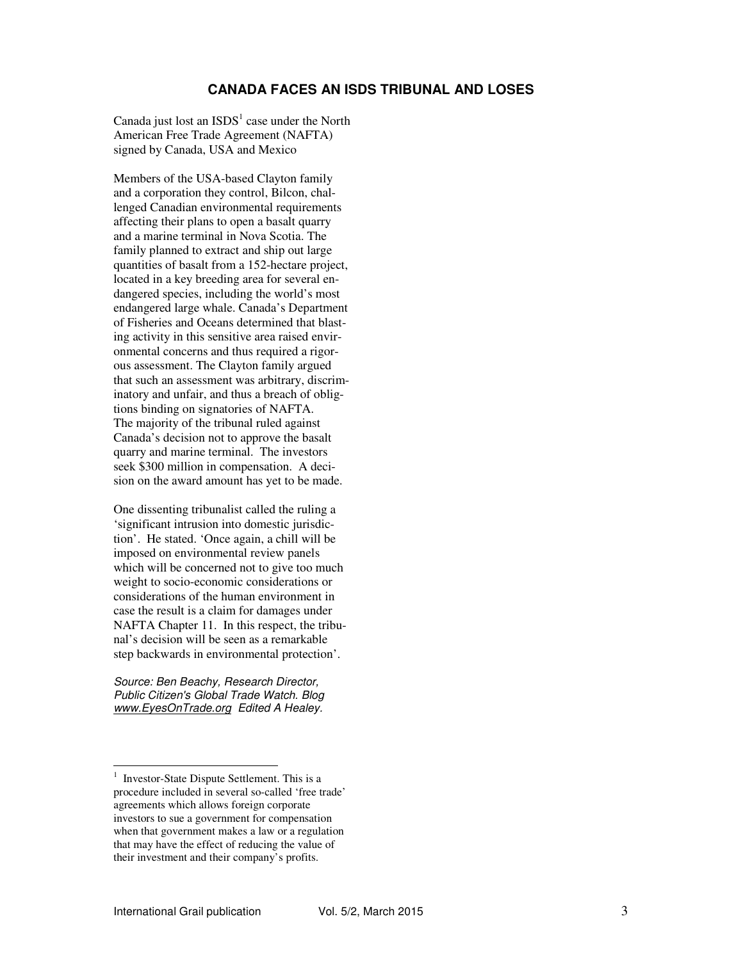#### **CANADA FACES AN ISDS TRIBUNAL AND LOSES**

Canada just lost an  $ISDS<sup>1</sup>$  case under the North American Free Trade Agreement (NAFTA) signed by Canada, USA and Mexico

Members of the USA-based Clayton family and a corporation they control, Bilcon, challenged Canadian environmental requirements affecting their plans to open a basalt quarry and a marine terminal in Nova Scotia. The family planned to extract and ship out large quantities of basalt from a 152-hectare project, located in a key breeding area for several endangered species, including the world's most endangered large whale. Canada's Department of Fisheries and Oceans determined that blasting activity in this sensitive area raised environmental concerns and thus required a rigorous assessment. The Clayton family argued that such an assessment was arbitrary, discriminatory and unfair, and thus a breach of obligtions binding on signatories of NAFTA. The majority of the tribunal ruled against Canada's decision not to approve the basalt quarry and marine terminal. The investors seek \$300 million in compensation. A decision on the award amount has yet to be made.

One dissenting tribunalist called the ruling a 'significant intrusion into domestic jurisdiction'. He stated. 'Once again, a chill will be imposed on environmental review panels which will be concerned not to give too much weight to socio-economic considerations or considerations of the human environment in case the result is a claim for damages under NAFTA Chapter 11. In this respect, the tribunal's decision will be seen as a remarkable step backwards in environmental protection'.

*Source: Ben Beachy, Research Director, Public Citizen's Global Trade Watch. Blog www.EyesOnTrade.org Edited A Healey.* 

-

<sup>1</sup> Investor-State Dispute Settlement. This is a procedure included in several so-called 'free trade' agreements which allows foreign corporate investors to sue a government for compensation when that government makes a law or a regulation that may have the effect of reducing the value of their investment and their company's profits.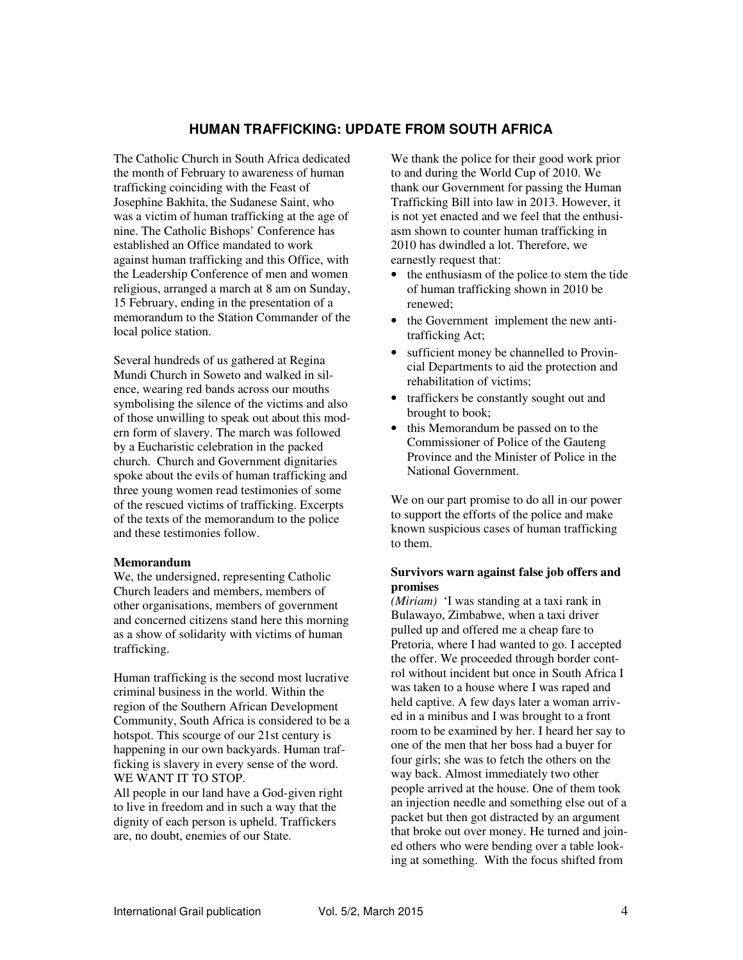### **HUMAN TRAFFICKING: UPDATE FROM SOUTH AFRICA**

The Catholic Church in South Africa dedicated the month of February to awareness of human trafficking coinciding with the Feast of Josephine Bakhita, the Sudanese Saint, who was a victim of human trafficking at the age of nine. The Catholic Bishops' Conference has established an Office mandated to work against human trafficking and this Office, with the Leadership Conference of men and women religious, arranged a march at 8 am on Sunday, 15 February, ending in the presentation of a memorandum to the Station Commander of the local police station.

Several hundreds of us gathered at Regina Mundi Church in Soweto and walked in silence, wearing red bands across our mouths symbolising the silence of the victims and also of those unwilling to speak out about this modern form of slavery. The march was followed by a Eucharistic celebration in the packed church. Church and Government dignitaries spoke about the evils of human trafficking and three young women read testimonies of some of the rescued victims of trafficking. Excerpts of the texts of the memorandum to the police and these testimonies follow.

#### **Memorandum**

We, the undersigned, representing Catholic Church leaders and members, members of other organisations, members of government and concerned citizens stand here this morning as a show of solidarity with victims of human trafficking.

Human trafficking is the second most lucrative criminal business in the world. Within the region of the Southern African Development Community, South Africa is considered to be a hotspot. This scourge of our 21st century is happening in our own backyards. Human trafficking is slavery in every sense of the word. WE WANT IT TO STOP.

All people in our land have a God-given right to live in freedom and in such a way that the dignity of each person is upheld. Traffickers are, no doubt, enemies of our State.

We thank the police for their good work prior to and during the World Cup of 2010. We thank our Government for passing the Human Trafficking Bill into law in 2013. However, it is not yet enacted and we feel that the enthusiasm shown to counter human trafficking in 2010 has dwindled a lot. Therefore, we earnestly request that:

- the enthusiasm of the police to stem the tide of human trafficking shown in 2010 be renewed;
- the Government implement the new antitrafficking Act;
- sufficient money be channelled to Provincial Departments to aid the protection and rehabilitation of victims;
- traffickers be constantly sought out and brought to book;
- this Memorandum be passed on to the Commissioner of Police of the Gauteng Province and the Minister of Police in the National Government.

We on our part promise to do all in our power to support the efforts of the police and make known suspicious cases of human trafficking to them.

#### **Survivors warn against false job offers and promises**

*(Miriam)* 'I was standing at a taxi rank in Bulawayo, Zimbabwe, when a taxi driver pulled up and offered me a cheap fare to Pretoria, where I had wanted to go. I accepted the offer. We proceeded through border control without incident but once in South Africa I was taken to a house where I was raped and held captive. A few days later a woman arrived in a minibus and I was brought to a front room to be examined by her. I heard her say to one of the men that her boss had a buyer for four girls; she was to fetch the others on the way back. Almost immediately two other people arrived at the house. One of them took an injection needle and something else out of a packet but then got distracted by an argument that broke out over money. He turned and joined others who were bending over a table looking at something. With the focus shifted from